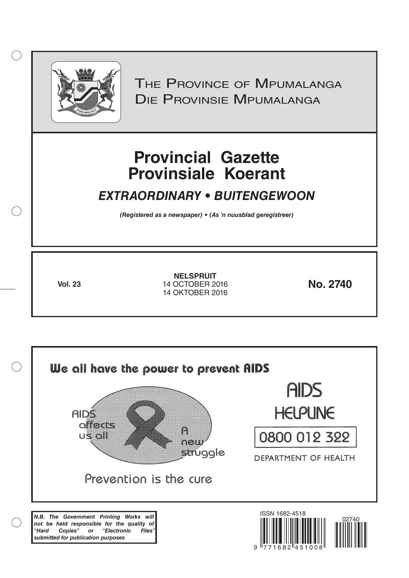

 $( )$ 

THE PROVINCE OF MPUMALANGA Die Provinsie Mpumalanga

# **Provincial Gazette Provinsiale Koerant**

# *EXTRAORDINARY • BUITENGEWOON*

*(Registered as a newspaper) • (As 'n nuusblad geregistreer)*

**Vol. 23 No. 2740** 14 OCTOBER 2016 **NELSPRUIT** 14 OKTOBER 2016

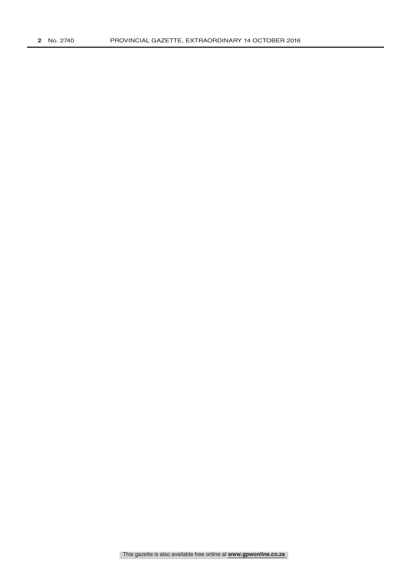This gazette is also available free online at **www.gpwonline.co.za**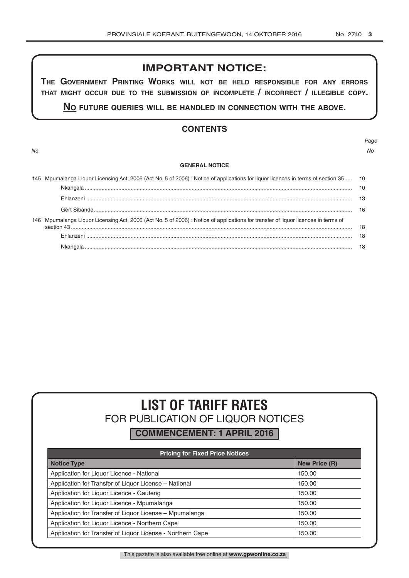# **IMPORTANT NOTICE:**

**The GovernmenT PrinTinG Works Will noT be held resPonsible for any errors ThaT miGhT occur due To The submission of incomPleTe / incorrecT / illeGible coPy.**

**no fuTure queries Will be handled in connecTion WiTh The above.**

# **CONTENTS**

#### **GENERAL NOTICE**

|  | 145 Mpumalanga Liquor Licensing Act, 2006 (Act No. 5 of 2006) : Notice of applications for liquor licences in terms of section 35 10 |     |
|--|--------------------------------------------------------------------------------------------------------------------------------------|-----|
|  |                                                                                                                                      | 10  |
|  |                                                                                                                                      |     |
|  |                                                                                                                                      | -16 |
|  | 146 Mpumalanga Liquor Licensing Act, 2006 (Act No. 5 of 2006) : Notice of applications for transfer of liquor licences in terms of   | 18  |
|  |                                                                                                                                      | 18  |
|  |                                                                                                                                      |     |

# **LIST OF TARIFF RATES** FOR PUBLICATION OF LIQUOR NOTICES

**COMMENCEMENT: 1 APRIL 2016**

| <b>Pricing for Fixed Price Notices</b>                     |                      |  |  |  |  |
|------------------------------------------------------------|----------------------|--|--|--|--|
| <b>Notice Type</b>                                         | <b>New Price (R)</b> |  |  |  |  |
| Application for Liquor Licence - National                  | 150.00               |  |  |  |  |
| Application for Transfer of Liquor License - National      | 150.00               |  |  |  |  |
| Application for Liquor Licence - Gauteng                   | 150.00               |  |  |  |  |
| Application for Liquor Licence - Mpumalanga                | 150.00               |  |  |  |  |
| Application for Transfer of Liquor License - Mpumalanga    | 150.00               |  |  |  |  |
| Application for Liquor Licence - Northern Cape             | 150.00               |  |  |  |  |
| Application for Transfer of Liquor License - Northern Cape | 150.00               |  |  |  |  |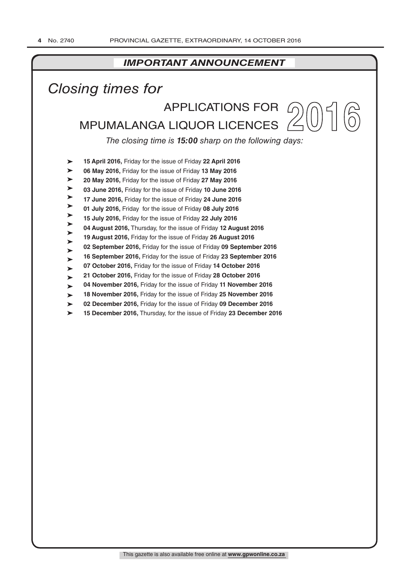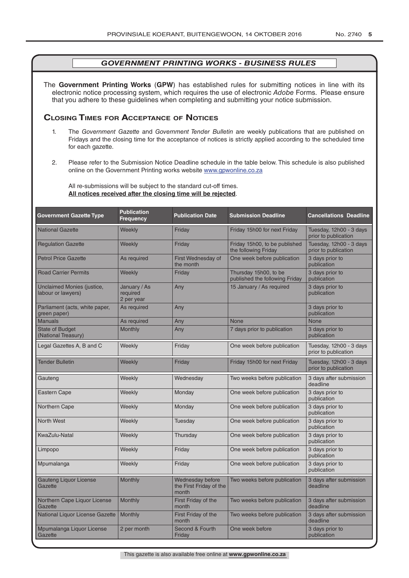The **Government Printing Works** (**GPW**) has established rules for submitting notices in line with its electronic notice processing system, which requires the use of electronic *Adobe* Forms. Please ensure that you adhere to these guidelines when completing and submitting your notice submission.

# **Closing Times for ACCepTAnCe of noTiCes**

- 1. The *Government Gazette* and *Government Tender Bulletin* are weekly publications that are published on Fridays and the closing time for the acceptance of notices is strictly applied according to the scheduled time for each gazette.
- 2. Please refer to the Submission Notice Deadline schedule in the table below. This schedule is also published online on the Government Printing works website www.gpwonline.co.za

All re-submissions will be subject to the standard cut-off times. **All notices received after the closing time will be rejected**.

| <b>Government Gazette Type</b>                   | <b>Publication</b><br><b>Frequency</b> | <b>Publication Date</b>                              | <b>Submission Deadline</b>                              | <b>Cancellations Deadline</b>                   |
|--------------------------------------------------|----------------------------------------|------------------------------------------------------|---------------------------------------------------------|-------------------------------------------------|
| <b>National Gazette</b>                          | Weekly                                 | Friday                                               | Friday 15h00 for next Friday                            | Tuesday, 12h00 - 3 days<br>prior to publication |
| <b>Regulation Gazette</b>                        | Weekly                                 | Friday                                               | Friday 15h00, to be published<br>the following Friday   | Tuesday, 12h00 - 3 days<br>prior to publication |
| <b>Petrol Price Gazette</b>                      | As required                            | First Wednesday of<br>the month                      | One week before publication                             | 3 days prior to<br>publication                  |
| <b>Road Carrier Permits</b>                      | Weekly                                 | Friday                                               | Thursday 15h00, to be<br>published the following Friday | 3 days prior to<br>publication                  |
| Unclaimed Monies (justice,<br>labour or lawyers) | January / As<br>required<br>2 per year | Any                                                  | 15 January / As required                                | 3 days prior to<br>publication                  |
| Parliament (acts, white paper,<br>green paper)   | As required                            | Any                                                  |                                                         | 3 days prior to<br>publication                  |
| <b>Manuals</b>                                   | As required                            | Any                                                  | <b>None</b>                                             | <b>None</b>                                     |
| <b>State of Budget</b><br>(National Treasury)    | Monthly                                | Any                                                  | 7 days prior to publication                             | 3 days prior to<br>publication                  |
| Legal Gazettes A, B and C                        | Weekly                                 | Friday                                               | One week before publication                             | Tuesday, 12h00 - 3 days<br>prior to publication |
| <b>Tender Bulletin</b>                           | Weekly                                 | Friday                                               | Friday 15h00 for next Friday                            | Tuesday, 12h00 - 3 days<br>prior to publication |
| Gauteng                                          | Weekly                                 | Wednesday                                            | Two weeks before publication                            | 3 days after submission<br>deadline             |
| <b>Eastern Cape</b>                              | Weekly                                 | Monday                                               | One week before publication                             | 3 days prior to<br>publication                  |
| Northern Cape                                    | Weekly                                 | Monday                                               | One week before publication                             | 3 days prior to<br>publication                  |
| <b>North West</b>                                | Weekly                                 | Tuesday                                              | One week before publication                             | 3 days prior to<br>publication                  |
| <b>KwaZulu-Natal</b>                             | Weekly                                 | Thursday                                             | One week before publication                             | 3 days prior to<br>publication                  |
| Limpopo                                          | Weekly                                 | Friday                                               | One week before publication                             | 3 days prior to<br>publication                  |
| Mpumalanga                                       | Weekly                                 | Friday                                               | One week before publication                             | 3 days prior to<br>publication                  |
| <b>Gauteng Liquor License</b><br>Gazette         | Monthly                                | Wednesday before<br>the First Friday of the<br>month | Two weeks before publication                            | 3 days after submission<br>deadline             |
| Northern Cape Liquor License<br>Gazette          | Monthly                                | First Friday of the<br>month                         | Two weeks before publication                            | 3 days after submission<br>deadline             |
| National Liquor License Gazette                  | <b>Monthly</b>                         | First Friday of the<br>month                         | Two weeks before publication                            | 3 days after submission<br>deadline             |
| Mpumalanga Liquor License<br>Gazette             | 2 per month                            | Second & Fourth<br>Friday                            | One week before                                         | 3 days prior to<br>publication                  |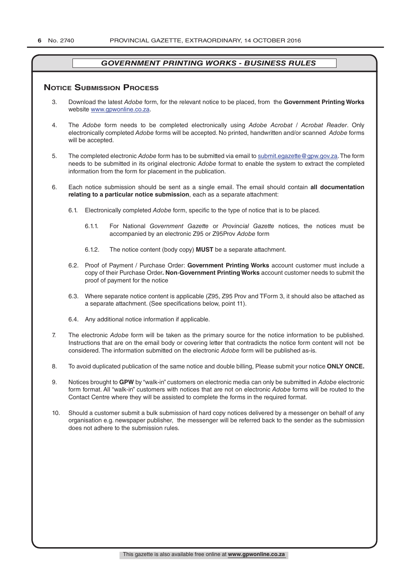## **NOTICE SUBMISSION PROCESS**

- 3. Download the latest *Adobe* form, for the relevant notice to be placed, from the **Government Printing Works** website www.gpwonline.co.za.
- 4. The *Adobe* form needs to be completed electronically using *Adobe Acrobat* / *Acrobat Reader*. Only electronically completed *Adobe* forms will be accepted. No printed, handwritten and/or scanned *Adobe* forms will be accepted.
- 5. The completed electronic *Adobe* form has to be submitted via email to submit.egazette@gpw.gov.za. The form needs to be submitted in its original electronic *Adobe* format to enable the system to extract the completed information from the form for placement in the publication.
- 6. Each notice submission should be sent as a single email. The email should contain **all documentation relating to a particular notice submission**, each as a separate attachment:
	- 6.1. Electronically completed *Adobe* form, specific to the type of notice that is to be placed.
		- 6.1.1. For National *Government Gazette* or *Provincial Gazette* notices, the notices must be accompanied by an electronic Z95 or Z95Prov *Adobe* form
		- 6.1.2. The notice content (body copy) **MUST** be a separate attachment.
	- 6.2. Proof of Payment / Purchase Order: **Government Printing Works** account customer must include a copy of their Purchase Order*.* **Non**-**Government Printing Works** account customer needs to submit the proof of payment for the notice
	- 6.3. Where separate notice content is applicable (Z95, Z95 Prov and TForm 3, it should also be attached as a separate attachment. (See specifications below, point 11).
	- 6.4. Any additional notice information if applicable.
- 7. The electronic *Adobe* form will be taken as the primary source for the notice information to be published. Instructions that are on the email body or covering letter that contradicts the notice form content will not be considered. The information submitted on the electronic *Adobe* form will be published as-is.
- 8. To avoid duplicated publication of the same notice and double billing, Please submit your notice **ONLY ONCE.**
- 9. Notices brought to **GPW** by "walk-in" customers on electronic media can only be submitted in *Adobe* electronic form format. All "walk-in" customers with notices that are not on electronic *Adobe* forms will be routed to the Contact Centre where they will be assisted to complete the forms in the required format.
- 10. Should a customer submit a bulk submission of hard copy notices delivered by a messenger on behalf of any organisation e.g. newspaper publisher, the messenger will be referred back to the sender as the submission does not adhere to the submission rules.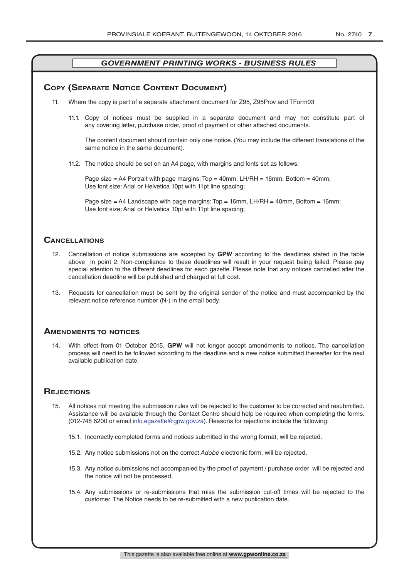# **COPY (SEPARATE NOTICE CONTENT DOCUMENT)**

- 11. Where the copy is part of a separate attachment document for Z95, Z95Prov and TForm03
	- 11.1. Copy of notices must be supplied in a separate document and may not constitute part of any covering letter, purchase order, proof of payment or other attached documents.

The content document should contain only one notice. (You may include the different translations of the same notice in the same document).

11.2. The notice should be set on an A4 page, with margins and fonts set as follows:

Page size  $=$  A4 Portrait with page margins: Top  $=$  40mm, LH/RH  $=$  16mm, Bottom  $=$  40mm; Use font size: Arial or Helvetica 10pt with 11pt line spacing;

Page size = A4 Landscape with page margins: Top = 16mm, LH/RH = 40mm, Bottom = 16mm; Use font size: Arial or Helvetica 10pt with 11pt line spacing;

# **CAnCellATions**

- 12. Cancellation of notice submissions are accepted by **GPW** according to the deadlines stated in the table above in point 2. Non-compliance to these deadlines will result in your request being failed. Please pay special attention to the different deadlines for each gazette. Please note that any notices cancelled after the cancellation deadline will be published and charged at full cost.
- 13. Requests for cancellation must be sent by the original sender of the notice and must accompanied by the relevant notice reference number (N-) in the email body.

#### **AmenDmenTs To noTiCes**

14. With effect from 01 October 2015, **GPW** will not longer accept amendments to notices. The cancellation process will need to be followed according to the deadline and a new notice submitted thereafter for the next available publication date.

# **REJECTIONS**

- 15. All notices not meeting the submission rules will be rejected to the customer to be corrected and resubmitted. Assistance will be available through the Contact Centre should help be required when completing the forms. (012-748 6200 or email info.egazette@gpw.gov.za). Reasons for rejections include the following:
	- 15.1. Incorrectly completed forms and notices submitted in the wrong format, will be rejected.
	- 15.2. Any notice submissions not on the correct *Adobe* electronic form, will be rejected.
	- 15.3. Any notice submissions not accompanied by the proof of payment / purchase order will be rejected and the notice will not be processed.
	- 15.4. Any submissions or re-submissions that miss the submission cut-off times will be rejected to the customer. The Notice needs to be re-submitted with a new publication date.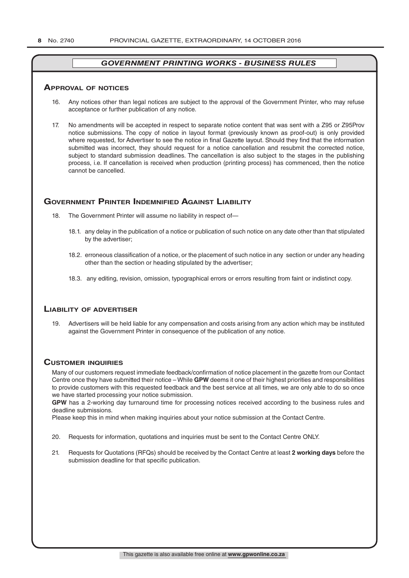#### **ApprovAl of noTiCes**

- 16. Any notices other than legal notices are subject to the approval of the Government Printer, who may refuse acceptance or further publication of any notice.
- 17. No amendments will be accepted in respect to separate notice content that was sent with a Z95 or Z95Prov notice submissions. The copy of notice in layout format (previously known as proof-out) is only provided where requested, for Advertiser to see the notice in final Gazette layout. Should they find that the information submitted was incorrect, they should request for a notice cancellation and resubmit the corrected notice, subject to standard submission deadlines. The cancellation is also subject to the stages in the publishing process, i.e. If cancellation is received when production (printing process) has commenced, then the notice cannot be cancelled.

# **GOVERNMENT PRINTER INDEMNIFIED AGAINST LIABILITY**

- 18. The Government Printer will assume no liability in respect of-
	- 18.1. any delay in the publication of a notice or publication of such notice on any date other than that stipulated by the advertiser;
	- 18.2. erroneous classification of a notice, or the placement of such notice in any section or under any heading other than the section or heading stipulated by the advertiser;
	- 18.3. any editing, revision, omission, typographical errors or errors resulting from faint or indistinct copy.

# **liAbiliTy of ADverTiser**

19. Advertisers will be held liable for any compensation and costs arising from any action which may be instituted against the Government Printer in consequence of the publication of any notice.

# **CusTomer inquiries**

Many of our customers request immediate feedback/confirmation of notice placement in the gazette from our Contact Centre once they have submitted their notice – While **GPW** deems it one of their highest priorities and responsibilities to provide customers with this requested feedback and the best service at all times, we are only able to do so once we have started processing your notice submission.

**GPW** has a 2-working day turnaround time for processing notices received according to the business rules and deadline submissions.

Please keep this in mind when making inquiries about your notice submission at the Contact Centre.

- 20. Requests for information, quotations and inquiries must be sent to the Contact Centre ONLY.
- 21. Requests for Quotations (RFQs) should be received by the Contact Centre at least **2 working days** before the submission deadline for that specific publication.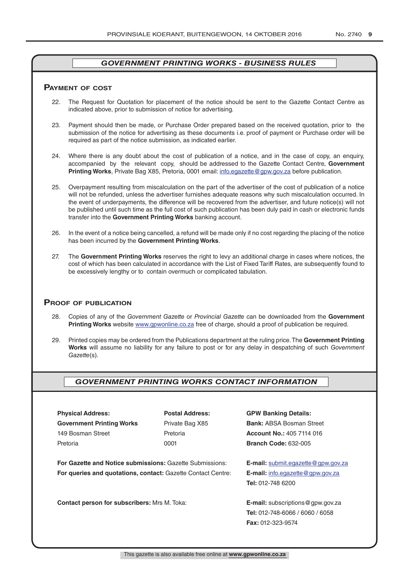### **pAymenT of CosT**

- 22. The Request for Quotation for placement of the notice should be sent to the Gazette Contact Centre as indicated above, prior to submission of notice for advertising.
- 23. Payment should then be made, or Purchase Order prepared based on the received quotation, prior to the submission of the notice for advertising as these documents i.e. proof of payment or Purchase order will be required as part of the notice submission, as indicated earlier.
- 24. Where there is any doubt about the cost of publication of a notice, and in the case of copy, an enquiry, accompanied by the relevant copy, should be addressed to the Gazette Contact Centre, **Government Printing Works**, Private Bag X85, Pretoria, 0001 email: info.egazette@gpw.gov.za before publication.
- 25. Overpayment resulting from miscalculation on the part of the advertiser of the cost of publication of a notice will not be refunded, unless the advertiser furnishes adequate reasons why such miscalculation occurred. In the event of underpayments, the difference will be recovered from the advertiser, and future notice(s) will not be published until such time as the full cost of such publication has been duly paid in cash or electronic funds transfer into the **Government Printing Works** banking account.
- 26. In the event of a notice being cancelled, a refund will be made only if no cost regarding the placing of the notice has been incurred by the **Government Printing Works**.
- 27. The **Government Printing Works** reserves the right to levy an additional charge in cases where notices, the cost of which has been calculated in accordance with the List of Fixed Tariff Rates, are subsequently found to be excessively lengthy or to contain overmuch or complicated tabulation.

# **proof of publiCATion**

- 28. Copies of any of the *Government Gazette* or *Provincial Gazette* can be downloaded from the **Government Printing Works** website www.gpwonline.co.za free of charge, should a proof of publication be required.
- 29. Printed copies may be ordered from the Publications department at the ruling price. The **Government Printing Works** will assume no liability for any failure to post or for any delay in despatching of such *Government Gazette*(s).

# *GOVERNMENT PRINTING WORKS CONTACT INFORMATION*

**Physical Address: Postal Address: GPW Banking Details: Government Printing Works** Private Bag X85 **Bank:** ABSA Bosman Street 149 Bosman Street Pretoria **Account No.:** 405 7114 016 Pretoria 0001 **Branch Code:** 632-005

**For Gazette and Notice submissions:** Gazette Submissions: **E-mail:** submit.egazette@gpw.gov.za **For queries and quotations, contact:** Gazette Contact Centre: **E-mail:** info.egazette@gpw.gov.za

**Contact person for subscribers:** Mrs M. Toka: **E-mail:** subscriptions@gpw.gov.za

**Tel:** 012-748 6200

**Tel:** 012-748-6066 / 6060 / 6058 **Fax:** 012-323-9574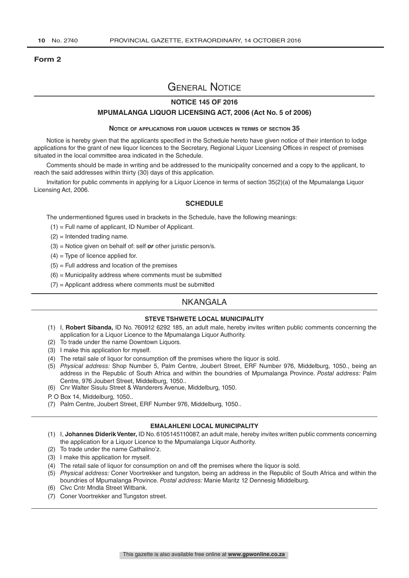#### **Form 2**

# General Notice

## **NOTICE 145 OF 2016**

#### **MPUMALANGA LIQUOR LICENSING ACT, 2006 (Act No. 5 of 2006)**

#### **Notice of applications for liquor licences in terms of section 35**

Notice is hereby given that the applicants specified in the Schedule hereto have given notice of their intention to lodge applications for the grant of new liquor licences to the Secretary, Regional Liquor Licensing Offices in respect of premises situated in the local committee area indicated in the Schedule.

Comments should be made in writing and be addressed to the municipality concerned and a copy to the applicant, to reach the said addresses within thirty (30) days of this application.

Invitation for public comments in applying for a Liquor Licence in terms of section 35(2)(a) of the Mpumalanga Liquor Licensing Act, 2006.

#### **SCHEDULE**

The undermentioned figures used in brackets in the Schedule, have the following meanings:

- (1) = Full name of applicant, ID Number of Applicant.
- (2) = Intended trading name.
- (3) = Notice given on behalf of: self *or* other juristic person/s.
- $(4)$  = Type of licence applied for.
- $(5)$  = Full address and location of the premises
- $(6)$  = Municipality address where comments must be submitted
- $(7)$  = Applicant address where comments must be submitted

# **NKANGALA**

#### **STEVE TSHWETE LOCAL MUNICIPALITY**

- (1) I, **Robert Sibanda,** ID No. 760912 6292 185, an adult male, hereby invites written public comments concerning the application for a Liquor Licence to the Mpumalanga Liquor Authority.
- (2) To trade under the name Downtown Liquors.
- (3) I make this application for myself.
- (4) The retail sale of liquor for consumption off the premises where the liquor is sold.
- (5) *Physical address:* Shop Number 5, Palm Centre, Joubert Street, ERF Number 976, Middelburg, 1050., being an address in the Republic of South Africa and within the boundries of Mpumalanga Province. *Postal address:* Palm Centre, 976 Joubert Street, Middelburg, 1050..
- (6) Cnr Walter Sisulu Street & Wanderers Avenue, Middelburg, 1050.
- P. O Box 14, Middelburg, 1050..
- (7) Palm Centre, Joubert Street, ERF Number 976, Middelburg, 1050..

#### **EMALAHLENI LOCAL MUNICIPALITY**

- (1) I, **Johannes Diderik Venter,** ID No. 6105145110087, an adult male, hereby invites written public comments concerning the application for a Liquor Licence to the Mpumalanga Liquor Authority.
- (2) To trade under the name Cathalino'z.
- (3) I make this application for myself.
- (4) The retail sale of liquor for consumption on and off the premises where the liquor is sold.
- (5) *Physical address:* Coner Voortrekker and tungston, being an address in the Republic of South Africa and within the boundries of Mpumalanga Province. *Postal address:* Manie Maritz 12 Dennesig Middelburg.
- (6) Clvc Cntr Mndla Street Witbank.
- (7) Coner Voortrekker and Tungston street.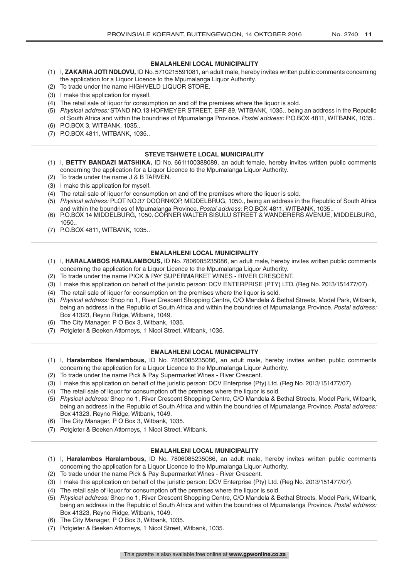#### **EMALAHLENI LOCAL MUNICIPALITY**

- (1) I, **ZAKARIA JOTI NDLOVU,** ID No. 5710215591081, an adult male, hereby invites written public comments concerning the application for a Liquor Licence to the Mpumalanga Liquor Authority.
- (2) To trade under the name HIGHVELD LIQUOR STORE.
- (3) I make this application for myself.
- (4) The retail sale of liquor for consumption on and off the premises where the liquor is sold.
- (5) *Physical address:* STAND NO.13 HOFMEYER STREET, ERF 89, WITBANK, 1035., being an address in the Republic of South Africa and within the boundries of Mpumalanga Province. *Postal address:* P.O.BOX 4811, WITBANK, 1035..
- (6) P.O.BOX 3, WITBANK, 1035..
- (7) P.O.BOX 4811, WITBANK, 1035..

#### **STEVE TSHWETE LOCAL MUNICIPALITY**

- (1) I, **BETTY BANDAZI MATSHIKA,** ID No. 6611100388089, an adult female, hereby invites written public comments concerning the application for a Liquor Licence to the Mpumalanga Liquor Authority.
- (2) To trade under the name J & B TARVEN.
- (3) I make this application for myself.
- (4) The retail sale of liquor for consumption on and off the premises where the liquor is sold.
- (5) *Physical address:* PLOT NO.37 DOORNKOP, MIDDELBRUG, 1050., being an address in the Republic of South Africa and within the boundries of Mpumalanga Province. *Postal address:* P.O.BOX 4811, WITBANK, 1035..
- (6) P.O.BOX 14 MIDDELBURG, 1050. CORNER WALTER SISULU STREET & WANDERERS AVENUE, MIDDELBURG, 1050..
- (7) P.O.BOX 4811, WITBANK, 1035..

#### **EMALAHLENI LOCAL MUNICIPALITY**

- (1) I, **HARALAMBOS HARALAMBOUS,** ID No. 7806085235086, an adult male, hereby invites written public comments concerning the application for a Liquor Licence to the Mpumalanga Liquor Authority.
- (2) To trade under the name PICK & PAY SUPERMARKET WINES RIVER CRESCENT.
- (3) I make this application on behalf of the juristic person: DCV ENTERPRISE (PTY) LTD. (Reg No. 2013/151477/07).
- (4) The retail sale of liquor for consumption on the premises where the liquor is sold.
- (5) *Physical address:* Shop no 1, River Crescent Shopping Centre, C/O Mandela & Bethal Streets, Model Park, Witbank, being an address in the Republic of South Africa and within the boundries of Mpumalanga Province. *Postal address:*  Box 41323, Reyno Ridge, Witbank, 1049.
- (6) The City Manager, P O Box 3, Witbank, 1035.
- (7) Potgieter & Beeken Attorneys, 1 Nicol Street, Witbank, 1035.

#### **EMALAHLENI LOCAL MUNICIPALITY**

- (1) I, **Haralambos Haralambous,** ID No. 7806085235086, an adult male, hereby invites written public comments concerning the application for a Liquor Licence to the Mpumalanga Liquor Authority.
- (2) To trade under the name Pick & Pay Supermarket Wines River Crescent.
- (3) I make this application on behalf of the juristic person: DCV Enterprise (Pty) Ltd. (Reg No. 2013/151477/07).
- (4) The retail sale of liquor for consumption off the premises where the liquor is sold.
- (5) *Physical address:* Shop no 1, River Crescent Shopping Centre, C/O Mandela & Bethal Streets, Model Park, Witbank, being an address in the Republic of South Africa and within the boundries of Mpumalanga Province. *Postal address:*  Box 41323, Reyno Ridge, Witbank, 1049.
- (6) The City Manager, P O Box 3, Witbank, 1035.
- (7) Potgieter & Beeken Attorneys, 1 Nicol Street, Witbank.

#### **EMALAHLENI LOCAL MUNICIPALITY**

- (1) I, **Haralambos Haralambous,** ID No. 7806085235086, an adult male, hereby invites written public comments concerning the application for a Liquor Licence to the Mpumalanga Liquor Authority.
- (2) To trade under the name Pick & Pay Supermarket Wines River Crescent.
- (3) I make this application on behalf of the juristic person: DCV Enterprise (Pty) Ltd. (Reg No. 2013/151477/07).
- (4) The retail sale of liquor for consumption off the premises where the liquor is sold.
- (5) *Physical address:* Shop no 1, River Crescent Shopping Centre, C/O Mandela & Bethal Streets, Model Park, Witbank, being an address in the Republic of South Africa and within the boundries of Mpumalanga Province. *Postal address:*  Box 41323, Reyno Ridge, Witbank, 1049.
- (6) The City Manager, P O Box 3, Witbank, 1035.
- (7) Potgieter & Beeken Attorneys, 1 Nicol Street, Witbank, 1035.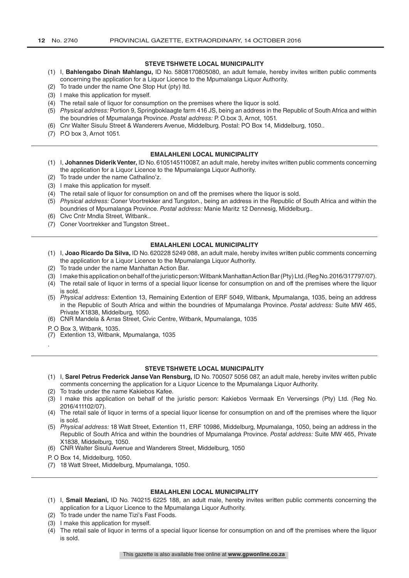#### **STEVE TSHWETE LOCAL MUNICIPALITY**

- (1) I, **Bahlengabo Dinah Mahlangu,** ID No. 5808170805080, an adult female, hereby invites written public comments concerning the application for a Liquor Licence to the Mpumalanga Liquor Authority.
- (2) To trade under the name One Stop Hut (pty) ltd.
- (3) I make this application for myself.
- (4) The retail sale of liquor for consumption on the premises where the liquor is sold.
- (5) *Physical address:* Portion 9, Springboklaagte farm 416 JS, being an address in the Republic of South Africa and within the boundries of Mpumalanga Province. *Postal address:* P. O.box 3, Arnot, 1051.
- (6) Cnr Walter Sisulu Street & Wanderers Avenue, Middelburg. Postal: PO Box 14, Middelburg, 1050..
- (7) P.O box 3, Arnot 1051.

#### **EMALAHLENI LOCAL MUNICIPALITY**

- (1) I, **Johannes Diderik Venter,** ID No. 6105145110087, an adult male, hereby invites written public comments concerning the application for a Liquor Licence to the Mpumalanga Liquor Authority.
- (2) To trade under the name Cathalino'z.
- (3) I make this application for myself.
- (4) The retail sale of liquor for consumption on and off the premises where the liquor is sold.
- (5) *Physical address:* Coner Voortrekker and Tungston., being an address in the Republic of South Africa and within the boundries of Mpumalanga Province. *Postal address:* Manie Maritz 12 Dennesig, Middelburg..
- (6) Clvc Cntr Mndla Street, Witbank..
- (7) Coner Voortrekker and Tungston Street..

#### **EMALAHLENI LOCAL MUNICIPALITY**

- (1) I, **Joao Ricardo Da Silva,** ID No. 620228 5249 088, an adult male, hereby invites written public comments concerning the application for a Liquor Licence to the Mpumalanga Liquor Authority.
- (2) To trade under the name Manhattan Action Bar.
- (3) I make this application on behalf of the juristic person: Witbank Manhattan Action Bar (Pty) Ltd. (Reg No. 2016/317797/07).
- (4) The retail sale of liquor in terms of a special liquor license for consumption on and off the premises where the liquor is sold.
- (5) *Physical address:* Extention 13, Remaining Extention of ERF 5049, Witbank, Mpumalanga, 1035, being an address in the Republic of South Africa and within the boundries of Mpumalanga Province. *Postal address:* Suite MW 465, Private X1838, Middelburg, 1050.
- (6) CNR Mandela & Arras Street, Civic Centre, Witbank, Mpumalanga, 1035

P. O Box 3, Witbank, 1035.

.

(7) Extention 13, Witbank, Mpumalanga, 1035

#### **STEVE TSHWETE LOCAL MUNICIPALITY**

- (1) I, **Sarel Petrus Frederick Janse Van Rensburg,** ID No. 700507 5056 087, an adult male, hereby invites written public comments concerning the application for a Liquor Licence to the Mpumalanga Liquor Authority.
- (2) To trade under the name Kakiebos Kafee.
- (3) I make this application on behalf of the juristic person: Kakiebos Vermaak En Verversings (Pty) Ltd. (Reg No. 2016/411102/07).
- (4) The retail sale of liquor in terms of a special liquor license for consumption on and off the premises where the liquor is sold.
- (5) *Physical address:* 18 Watt Street, Extention 11, ERF 10986, Middelburg, Mpumalanga, 1050, being an address in the Republic of South Africa and within the boundries of Mpumalanga Province. *Postal address:* Suite MW 465, Private X1838, Middelburg, 1050.
- (6) CNR Walter Sisulu Avenue and Wanderers Street, Middelburg, 1050
- P. O Box 14, Middelburg, 1050.
- (7) 18 Watt Street, Middelburg, Mpumalanga, 1050.

#### **EMALAHLENI LOCAL MUNICIPALITY**

- (1) I, **Smail Meziani,** ID No. 740215 6225 188, an adult male, hereby invites written public comments concerning the application for a Liquor Licence to the Mpumalanga Liquor Authority.
- (2) To trade under the name Tizi's Fast Foods.
- (3) I make this application for myself.
- (4) The retail sale of liquor in terms of a special liquor license for consumption on and off the premises where the liquor is sold.

This gazette is also available free online at **www.gpwonline.co.za**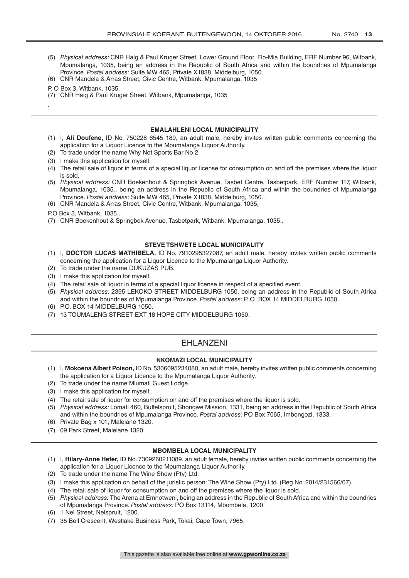- (5) *Physical address:* CNR Haig & Paul Kruger Street, Lower Ground Floor, Flo-Mia Building, ERF Number 96, Witbank, Mpumalanga, 1035, being an address in the Republic of South Africa and within the boundries of Mpumalanga Province. *Postal address:* Suite MW 465, Private X1838, Middelburg, 1050.
- (6) CNR Mandela & Arras Street, Civic Centre, Witbank, Mpumalanga, 1035

.

(7) CNR Haig & Paul Kruger Street, Witbank, Mpumalanga, 1035

#### **EMALAHLENI LOCAL MUNICIPALITY**

- (1) I, **Ali Doufene,** ID No. 750228 6545 189, an adult male, hereby invites written public comments concerning the application for a Liquor Licence to the Mpumalanga Liquor Authority.
- (2) To trade under the name Why Not Sports Bar No 2.
- (3) I make this application for myself.
- (4) The retail sale of liquor in terms of a special liquor license for consumption on and off the premises where the liquor is sold.
- (5) *Physical address:* CNR Boekenhout & Springbok Avenue, Tasbet Centre, Tasbetpark, ERF Number 117, Witbank, Mpumalanga, 1035., being an address in the Republic of South Africa and within the boundries of Mpumalanga Province. *Postal address:* Suite MW 465, Private X1838, Middelburg, 1050..
- (6) CNR Mandela & Arras Street, Civic Centre, Witbank, Mpumalanga, 1035,
- P.O Box 3, Witbank, 1035..
- (7) CNR Boekenhout & Springbok Avenue, Tasbetpark, Witbank, Mpumalanga, 1035..

#### **STEVE TSHWETE LOCAL MUNICIPALITY**

- (1) I, **DOCTOR LUCAS MATHIBELA,** ID No. 7910295327087, an adult male, hereby invites written public comments concerning the application for a Liquor Licence to the Mpumalanga Liquor Authority.
- (2) To trade under the name DUKUZAS PUB.
- (3) I make this application for myself.
- (4) The retail sale of liquor in terms of a special liquor license in respect of a specified event.
- (5) *Physical address:* 2395 LEKOKO STREET MIDDELBURG 1050, being an address in the Republic of South Africa and within the boundries of Mpumalanga Province. *Postal address:* P. O .BOX 14 MIDDELBURG 1050.
- (6) P.O. BOX 14 MIDDELBURG 1050.
- (7) 13 TOUMALENG STREET EXT 18 HOPE CITY MIDDELBURG 1050.

# **FHI ANZENI**

#### **NKOMAZI LOCAL MUNICIPALITY**

- (1) I, **Mokoena Albert Poison,** ID No. 5306095234080, an adult male, hereby invites written public comments concerning the application for a Liquor Licence to the Mpumalanga Liquor Authority.
- (2) To trade under the name Mlumati Guest Lodge.
- (3) I make this application for myself.
- (4) The retail sale of liquor for consumption on and off the premises where the liquor is sold.
- (5) *Physical address:* Lomati 460, Buffelspruit, Shongwe Mission, 1331, being an address in the Republic of South Africa and within the boundries of Mpumalanga Province. *Postal address:* PO Box 7065, Imbongozi, 1333.
- (6) Private Bag x 101, Malelane 1320.
- (7) 09 Park Street, Malelane 1320.

#### **MBOMBELA LOCAL MUNICIPALITY**

- (1) I, **Hilary-Anne Hefer,** ID No. 7309260211089, an adult female, hereby invites written public comments concerning the application for a Liquor Licence to the Mpumalanga Liquor Authority.
- (2) To trade under the name The Wine Show (Pty) Ltd.
- (3) I make this application on behalf of the juristic person: The Wine Show (Pty) Ltd. (Reg No. 2014/231566/07).
- (4) The retail sale of liquor for consumption on and off the premises where the liquor is sold.
- (5) *Physical address:* The Arena at Emnotweni, being an address in the Republic of South Africa and within the boundries of Mpumalanga Province. *Postal address:* PO Box 13114, Mbombela, 1200.
- (6) 1 Nel Street, Nelspruit, 1200.
- (7) 35 Bell Crescent, Westlake Business Park, Tokai, Cape Town, 7965.

P. O Box 3, Witbank, 1035.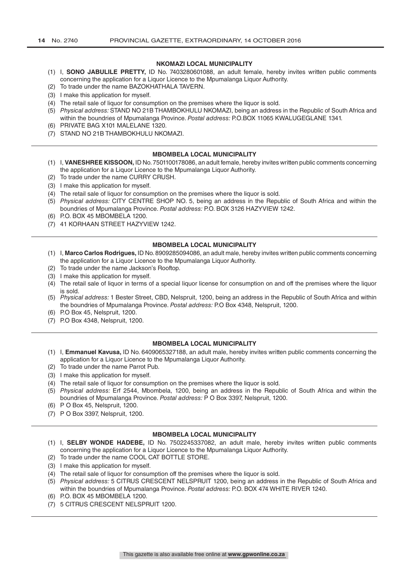#### **NKOMAZI LOCAL MUNICIPALITY**

- (1) I, **SONO JABULILE PRETTY,** ID No. 7403280601088, an adult female, hereby invites written public comments concerning the application for a Liquor Licence to the Mpumalanga Liquor Authority.
- (2) To trade under the name BAZOKHATHALA TAVERN.
- (3) I make this application for myself.
- (4) The retail sale of liquor for consumption on the premises where the liquor is sold.
- (5) *Physical address:* STAND NO 21B THAMBOKHULU NKOMAZI, being an address in the Republic of South Africa and within the boundries of Mpumalanga Province. *Postal address:* P.O.BOX 11065 KWALUGEGLANE 1341.
- (6) PRIVATE BAG X101 MALELANE 1320.
- (7) STAND NO 21B THAMBOKHULU NKOMAZI.

#### **MBOMBELA LOCAL MUNICIPALITY**

- (1) I, **VANESHREE KISSOON,** ID No. 7501100178086, an adult female, hereby invites written public comments concerning the application for a Liquor Licence to the Mpumalanga Liquor Authority.
- (2) To trade under the name CURRY CRUSH.
- (3) I make this application for myself.
- (4) The retail sale of liquor for consumption on the premises where the liquor is sold.
- (5) *Physical address:* CITY CENTRE SHOP NO. 5, being an address in the Republic of South Africa and within the boundries of Mpumalanga Province. *Postal address:* P.O. BOX 3126 HAZYVIEW 1242.
- (6) P.O. BOX 45 MBOMBELA 1200.
- (7) 41 KORHAAN STREET HAZYVIEW 1242.

#### **MBOMBELA LOCAL MUNICIPALITY**

- (1) I, **Marco Carlos Rodrigues,** ID No. 8909285094086, an adult male, hereby invites written public comments concerning the application for a Liquor Licence to the Mpumalanga Liquor Authority.
- (2) To trade under the name Jackson's Rooftop.
- (3) I make this application for myself.
- (4) The retail sale of liquor in terms of a special liquor license for consumption on and off the premises where the liquor is sold.
- (5) *Physical address:* 1 Bester Street, CBD, Nelspruit, 1200, being an address in the Republic of South Africa and within the boundries of Mpumalanga Province. *Postal address:* P.O Box 4348, Nelspruit, 1200.
- (6) P.O Box 45, Nelspruit, 1200.
- (7) P.O Box 4348, Nelspruit, 1200.

#### **MBOMBELA LOCAL MUNICIPALITY**

- (1) I, **Emmanuel Kavusa,** ID No. 6409065327188, an adult male, hereby invites written public comments concerning the application for a Liquor Licence to the Mpumalanga Liquor Authority.
- (2) To trade under the name Parrot Pub.
- (3) I make this application for myself.
- (4) The retail sale of liquor for consumption on the premises where the liquor is sold.
- (5) *Physical address:* Erf 2544, Mbombela, 1200, being an address in the Republic of South Africa and within the boundries of Mpumalanga Province. *Postal address:* P O Box 3397, Nelspruit, 1200.
- (6) P O Box 45, Nelspruit, 1200.
- (7) P O Box 3397, Nelspruit, 1200.

#### **MBOMBELA LOCAL MUNICIPALITY**

- (1) I, **SELBY WONDE HADEBE,** ID No. 7502245337082, an adult male, hereby invites written public comments concerning the application for a Liquor Licence to the Mpumalanga Liquor Authority.
- (2) To trade under the name COOL CAT BOTTLE STORE.
- (3) I make this application for myself.
- (4) The retail sale of liquor for consumption off the premises where the liquor is sold.
- (5) *Physical address:* 5 CITRUS CRESCENT NELSPRUIT 1200, being an address in the Republic of South Africa and within the boundries of Mpumalanga Province. *Postal address:* P.O. BOX 474 WHITE RIVER 1240.
- (6) P.O. BOX 45 MBOMBELA 1200.
- (7) 5 CITRUS CRESCENT NELSPRUIT 1200.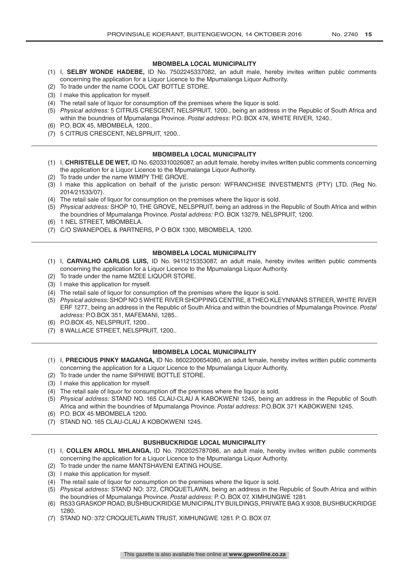#### **MBOMBELA LOCAL MUNICIPALITY**

- (1) I, **SELBY WONDE HADEBE,** ID No. 7502245337082, an adult male, hereby invites written public comments concerning the application for a Liquor Licence to the Mpumalanga Liquor Authority.
- (2) To trade under the name COOL CAT BOTTLE STORE.
- (3) I make this application for myself.
- (4) The retail sale of liquor for consumption off the premises where the liquor is sold.
- (5) *Physical address:* 5 CITRUS CRESCENT, NELSPRUIT, 1200., being an address in the Republic of South Africa and within the boundries of Mpumalanga Province. *Postal address:* P.O. BOX 474, WHITE RIVER, 1240..
- (6) P.O. BOX 45, MBOMBELA, 1200..
- (7) 5 CITRUS CRESCENT, NELSPRUIT, 1200..

#### **MBOMBELA LOCAL MUNICIPALITY**

- (1) I, **CHRISTELLE DE WET,** ID No. 6203310026087, an adult female, hereby invites written public comments concerning the application for a Liquor Licence to the Mpumalanga Liquor Authority.
- (2) To trade under the name WIMPY THE GROVE.
- (3) I make this application on behalf of the juristic person: WFRANCHISE INVESTMENTS (PTY) LTD. (Reg No. 2014/21533/07).
- (4) The retail sale of liquor for consumption on the premises where the liquor is sold.
- (5) *Physical address:* SHOP 10, THE GROVE, NELSPRUIT, being an address in the Republic of South Africa and within the boundries of Mpumalanga Province. *Postal address:* P.O. BOX 13279, NELSPRUIT, 1200.
- (6) 1 NEL STREET, MBOMBELA.
- (7) C/O SWANEPOEL & PARTNERS, P O BOX 1300, MBOMBELA, 1200.

#### **MBOMBELA LOCAL MUNICIPALITY**

- (1) I, **CARVALHO CARLOS LUIS,** ID No. 9411215353087, an adult male, hereby invites written public comments concerning the application for a Liquor Licence to the Mpumalanga Liquor Authority.
- (2) To trade under the name MZEE LIQUOR STORE.
- (3) I make this application for myself.
- (4) The retail sale of liquor for consumption off the premises where the liquor is sold.
- (5) *Physical address:* SHOP NO 5 WHITE RIVER SHOPPING CENTRE, 8 THEO KLEYNNANS STREER, WHITE RIVER ERF 1277., being an address in the Republic of South Africa and within the boundries of Mpumalanga Province. *Postal address:* P.O.BOX 351, MAFEMANI, 1285..
- (6) P.O.BOX 45, NELSPRUIT, 1200..
- (7) 8 WALLACE STREET, NELSPRUIT, 1200..

#### **MBOMBELA LOCAL MUNICIPALITY**

- (1) I, **PRECIOUS PINKY MAGANGA,** ID No. 8602200654080, an adult female, hereby invites written public comments concerning the application for a Liquor Licence to the Mpumalanga Liquor Authority.
- (2) To trade under the name SIPHIWE BOTTLE STORE.
- (3) I make this application for myself.
- (4) The retail sale of liquor for consumption off the premises where the liquor is sold.
- (5) *Physical address:* STAND NO. 165 CLAU-CLAU A KABOKWENI 1245, being an address in the Republic of South Africa and within the boundries of Mpumalanga Province. *Postal address:* P.O.BOX 371 KABOKWENI 1245.
- (6) P.O. BOX 45 MBOMBELA 1200.
- (7) STAND NO. 165 CLAU-CLAU A KOBOKWENI 1245.

#### **BUSHBUCKRIDGE LOCAL MUNICIPALITY**

- (1) I, **COLLEN AROLL MHLANGA,** ID No. 7902025787086, an adult male, hereby invites written public comments concerning the application for a Liquor Licence to the Mpumalanga Liquor Authority.
- (2) To trade under the name MANTSHAVENI EATING HOUSE.
- (3) I make this application for myself.
- (4) The retail sale of liquor for consumption on the premises where the liquor is sold.
- (5) *Physical address:* STAND NO: 372, CROQUETLAWN, being an address in the Republic of South Africa and within the boundries of Mpumalanga Province. *Postal address:* P. O. BOX 07, XIMHUNGWE 1281.
- (6) R533 GRASKOP ROAD, BUSHBUCKRIDGE MUNICIPALITY BUILDINGS, PRIVATE BAG X 9308, BUSHBUCKRIDGE 1280.
- (7) STAND NO: 372 CROQUETLAWN TRUST, XIMHUNGWE 1281. P. O. BOX 07.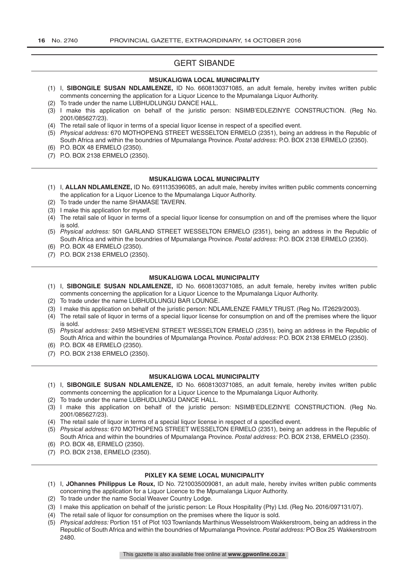# GERT SIBANDE

#### **MSUKALIGWA LOCAL MUNICIPALITY**

- (1) I, **SIBONGILE SUSAN NDLAMLENZE,** ID No. 6608130371085, an adult female, hereby invites written public comments concerning the application for a Liquor Licence to the Mpumalanga Liquor Authority.
- (2) To trade under the name LUBHUDLUNGU DANCE HALL.
- (3) I make this application on behalf of the juristic person: NSIMB'EDLEZINYE CONSTRUCTION. (Reg No. 2001/085627/23).
- (4) The retail sale of liquor in terms of a special liquor license in respect of a specified event.
- (5) *Physical address:* 670 MOTHOPENG STREET WESSELTON ERMELO (2351), being an address in the Republic of South Africa and within the boundries of Mpumalanga Province. *Postal address:* P.O. BOX 2138 ERMELO (2350).
- (6) P.O. BOX 48 ERMELO (2350).
- (7) P.O. BOX 2138 ERMELO (2350).

#### **MSUKALIGWA LOCAL MUNICIPALITY**

- (1) I, **ALLAN NDLAMLENZE,** ID No. 6911135396085, an adult male, hereby invites written public comments concerning the application for a Liquor Licence to the Mpumalanga Liquor Authority.
- (2) To trade under the name SHAMASE TAVERN.
- (3) I make this application for myself.
- (4) The retail sale of liquor in terms of a special liquor license for consumption on and off the premises where the liquor is sold.
- (5) *Physical address:* 501 GARLAND STREET WESSELTON ERMELO (2351), being an address in the Republic of South Africa and within the boundries of Mpumalanga Province. *Postal address:* P.O. BOX 2138 ERMELO (2350).
- (6) P.O. BOX 48 ERMELO (2350).
- (7) P.O. BOX 2138 ERMELO (2350).

#### **MSUKALIGWA LOCAL MUNICIPALITY**

- (1) I, **SIBONGILE SUSAN NDLAMLENZE,** ID No. 6608130371085, an adult female, hereby invites written public comments concerning the application for a Liquor Licence to the Mpumalanga Liquor Authority.
- (2) To trade under the name LUBHUDLUNGU BAR LOUNGE.
- (3) I make this application on behalf of the juristic person: NDLAMLENZE FAMILY TRUST. (Reg No. IT2629/2003).
- (4) The retail sale of liquor in terms of a special liquor license for consumption on and off the premises where the liquor is sold.
- (5) *Physical address:* 2459 MSHEVENI STREET WESSELTON ERMELO (2351), being an address in the Republic of South Africa and within the boundries of Mpumalanga Province. *Postal address:* P.O. BOX 2138 ERMELO (2350).
- (6) P.O. BOX 48 ERMELO (2350).
- (7) P.O. BOX 2138 ERMELO (2350).

#### **MSUKALIGWA LOCAL MUNICIPALITY**

- (1) I, **SIBONGILE SUSAN NDLAMLENZE,** ID No. 6608130371085, an adult female, hereby invites written public comments concerning the application for a Liquor Licence to the Mpumalanga Liquor Authority.
- (2) To trade under the name LUBHUDLUNGU DANCE HALL.
- (3) I make this application on behalf of the juristic person: NSIMB'EDLEZINYE CONSTRUCTION. (Reg No. 2001/085627/23).
- (4) The retail sale of liquor in terms of a special liquor license in respect of a specified event.
- (5) *Physical address:* 670 MOTHOPENG STREET WESSELTON ERMELO (2351), being an address in the Republic of South Africa and within the boundries of Mpumalanga Province. *Postal address:* P.O. BOX 2138, ERMELO (2350).
- (6) P.O. BOX 48, ERMELO (2350).
- (7) P.O. BOX 2138, ERMELO (2350).

#### **PIXLEY KA SEME LOCAL MUNICIPALITY**

- (1) I, **JOhannes Philippus Le Roux,** ID No. 7210035009081, an adult male, hereby invites written public comments concerning the application for a Liquor Licence to the Mpumalanga Liquor Authority.
- (2) To trade under the name Social Weaver Country Lodge.
- (3) I make this application on behalf of the juristic person: Le Roux Hospitality (Pty) Ltd. (Reg No. 2016/097131/07).
- (4) The retail sale of liquor for consumption on the premises where the liquor is sold.
- (5) *Physical address:* Portion 151 of Plot 103 Townlands Marthinus Wesselstroom Wakkerstroom, being an address in the Republic of South Africa and within the boundries of Mpumalanga Province. *Postal address:* PO Box 25 Wakkerstroom 2480.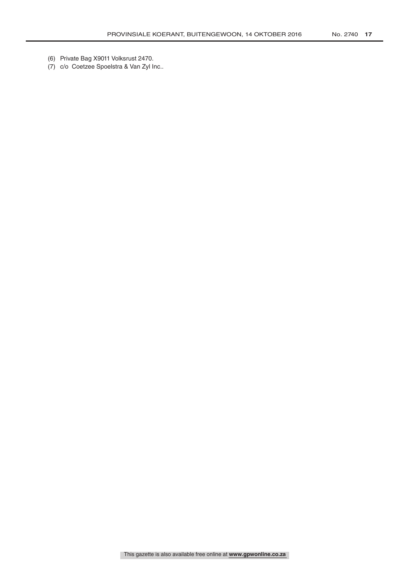- (6) Private Bag X9011 Volksrust 2470.
- (7) c/o Coetzee Spoelstra & Van Zyl Inc..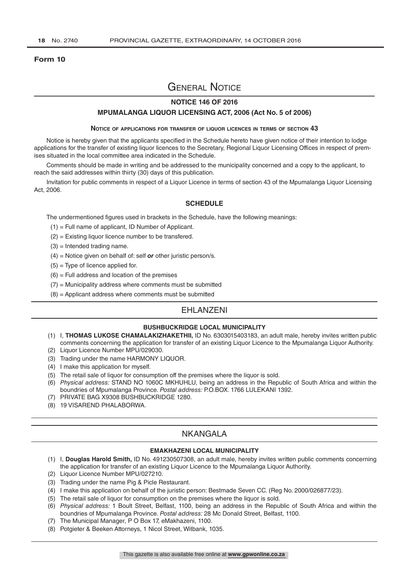#### **Form 10**

# General Notice

### **NOTICE 146 OF 2016**

#### **MPUMALANGA LIQUOR LICENSING ACT, 2006 (Act No. 5 of 2006)**

#### **Notice of applications for transfer of liquor licences in terms of section 43**

Notice is hereby given that the applicants specified in the Schedule hereto have given notice of their intention to lodge applications for the transfer of existing liquor licences to the Secretary, Regional Liquor Licensing Offices in respect of premises situated in the local committee area indicated in the Schedule.

Comments should be made in writing and be addressed to the municipality concerned and a copy to the applicant, to reach the said addresses within thirty (30) days of this publication.

Invitation for public comments in respect of a Liquor Licence in terms of section 43 of the Mpumalanga Liquor Licensing Act, 2006.

#### **SCHEDULE**

The undermentioned figures used in brackets in the Schedule, have the following meanings:

- (1) = Full name of applicant, ID Number of Applicant.
- (2) = Existing liquor licence number to be transfered.
- $(3)$  = Intended trading name.
- (4) = Notice given on behalf of: self *or* other juristic person/s.
- $(5)$  = Type of licence applied for.
- $(6)$  = Full address and location of the premises
- $(7)$  = Municipality address where comments must be submitted
- $(8)$  = Applicant address where comments must be submitted

## EHLANZENI

#### **BUSHBUCKRIDGE LOCAL MUNICIPALITY**

- (1) I, **THOMAS LUKOSE CHAMALAKIZHAKETHII,** ID No. 6303015403183, an adult male, hereby invites written public comments concerning the application for transfer of an existing Liquor Licence to the Mpumalanga Liquor Authority.
- (2) Liquor Licence Number MPU/029030.
- (3) Trading under the name HARMONY LIQUOR.
- (4) I make this application for myself.
- (5) The retail sale of liquor for consumption off the premises where the liquor is sold.
- (6) *Physical address:* STAND NO 1060C MKHUHLU, being an address in the Republic of South Africa and within the boundries of Mpumalanga Province. *Postal address:* P.O.BOX. 1766 LULEKANI 1392.
- (7) PRIVATE BAG X9308 BUSHBUCKRIDGE 1280.
- (8) 19 VISAREND PHALABORWA.

# NKANGALA

#### **EMAKHAZENI LOCAL MUNICIPALITY**

- (1) I, **Douglas Harold Smith,** ID No. 491230507308, an adult male, hereby invites written public comments concerning the application for transfer of an existing Liquor Licence to the Mpumalanga Liquor Authority.
- (2) Liquor Licence Number MPU/027210.
- (3) Trading under the name Pig & Picle Restaurant.
- (4) I make this application on behalf of the juristic person: Bestmade Seven CC. (Reg No. 2000/026877/23).
- (5) The retail sale of liquor for consumption on the premises where the liquor is sold.
- (6) *Physical address:* 1 Boult Street, Belfast, 1100, being an address in the Republic of South Africa and within the boundries of Mpumalanga Province. *Postal address:* 28 Mc Donald Street, Belfast, 1100.
- (7) The Municipal Manager, P O Box 17, eMakhazeni, 1100.
- (8) Potgieter & Beeken Attorneys, 1 Nicol Street, Witbank, 1035.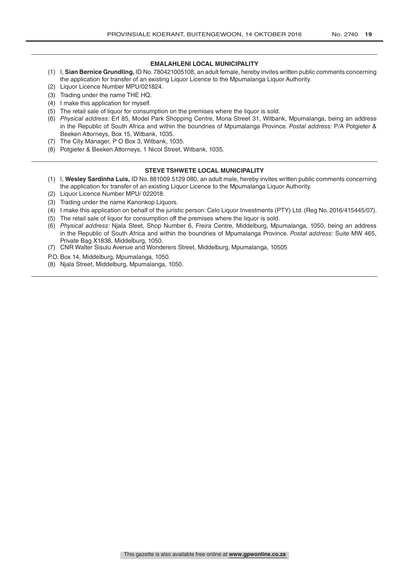#### **EMALAHLENI LOCAL MUNICIPALITY**

- (1) I, **Sian Bernice Grundling,** ID No. 780421005108, an adult female, hereby invites written public comments concerning the application for transfer of an existing Liquor Licence to the Mpumalanga Liquor Authority.
- (2) Liquor Licence Number MPU/021824.
- (3) Trading under the name THE HQ.
- (4) I make this application for myself.
- (5) The retail sale of liquor for consumption on the premises where the liquor is sold.
- (6) *Physical address:* Erf 85, Model Park Shopping Centre, Mona Street 31, Witbank, Mpumalanga, being an address in the Republic of South Africa and within the boundries of Mpumalanga Province. *Postal address:* P/A Potgieter & Beeken Attorneys, Box 15, Witbank, 1035.
- (7) The City Manager, P O Box 3, Witbank, 1035.
- (8) Potgieter & Beeken Attorneys, 1 Nicol Street, Witbank, 1035.

#### **STEVE TSHWETE LOCAL MUNICIPALITY**

- (1) I, **Wesley Sardinha Luis,** ID No. 881009 5129 080, an adult male, hereby invites written public comments concerning the application for transfer of an existing Liquor Licence to the Mpumalanga Liquor Authority.
- (2) Liquor Licence Number MPU/ 022018.
- (3) Trading under the name Kanonkop Liquors.
- (4) I make this application on behalf of the juristic person: Celo Liquor Investments (PTY) Ltd. (Reg No. 2016/415445/07).
- (5) The retail sale of liquor for consumption off the premises where the liquor is sold.
- (6) *Physical address:* Njala Steet, Shop Number 6, Freira Centre, Middelburg, Mpumalanga, 1050, being an address in the Republic of South Africa and within the boundries of Mpumalanga Province. *Postal address:* Suite MW 465, Private Bag X1838, Middelburg, 1050.
- (7) CNR Walter Sisulu Avenue and Wonderers Street, Middelburg, Mpumalanga, 10505
- P.O. Box 14, Middelburg, Mpumalanga, 1050.
- (8) Njala Street, Middelburg, Mpumalanga, 1050.